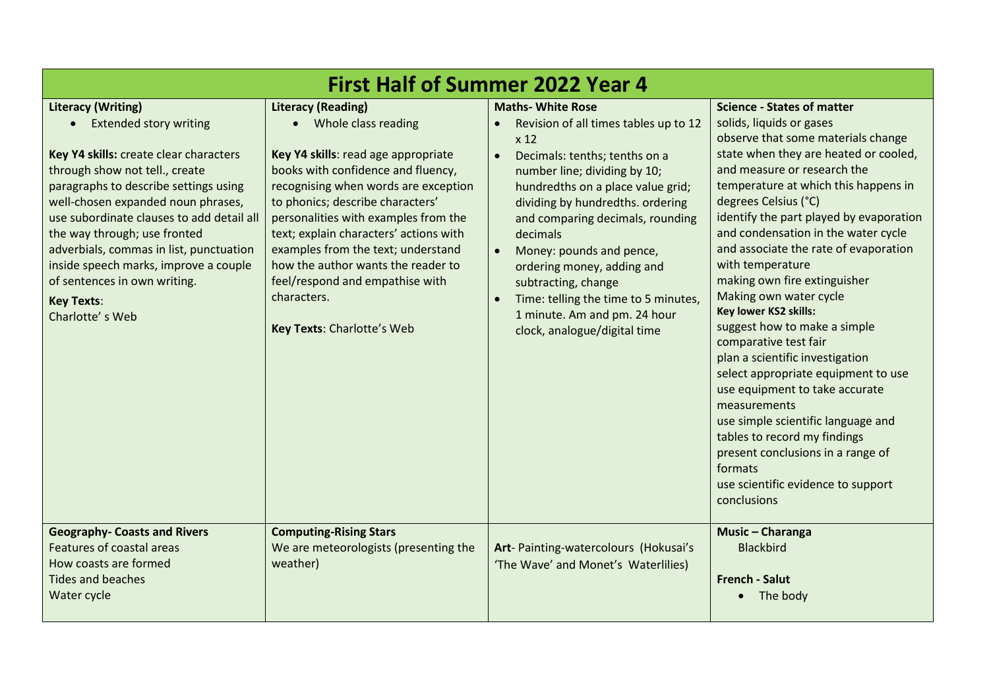| <b>First Half of Summer 2022 Year 4</b>                                                                                                                                                                                                                                                                                                                                                                                                                   |                                                                                                                                                                                                                                                                                                                                                                                                                                                                  |                                                                                                                                                                                                                                                                                                                                                                                                                                                                                                   |                                                                                                                                                                                                                                                                                                                                                                                                                                                                                                                                                                                                                                                                                                                                                                                                                                               |  |  |
|-----------------------------------------------------------------------------------------------------------------------------------------------------------------------------------------------------------------------------------------------------------------------------------------------------------------------------------------------------------------------------------------------------------------------------------------------------------|------------------------------------------------------------------------------------------------------------------------------------------------------------------------------------------------------------------------------------------------------------------------------------------------------------------------------------------------------------------------------------------------------------------------------------------------------------------|---------------------------------------------------------------------------------------------------------------------------------------------------------------------------------------------------------------------------------------------------------------------------------------------------------------------------------------------------------------------------------------------------------------------------------------------------------------------------------------------------|-----------------------------------------------------------------------------------------------------------------------------------------------------------------------------------------------------------------------------------------------------------------------------------------------------------------------------------------------------------------------------------------------------------------------------------------------------------------------------------------------------------------------------------------------------------------------------------------------------------------------------------------------------------------------------------------------------------------------------------------------------------------------------------------------------------------------------------------------|--|--|
| <b>Literacy (Writing)</b><br>• Extended story writing<br>Key Y4 skills: create clear characters<br>through show not tell., create<br>paragraphs to describe settings using<br>well-chosen expanded noun phrases,<br>use subordinate clauses to add detail all<br>the way through; use fronted<br>adverbials, commas in list, punctuation<br>inside speech marks, improve a couple<br>of sentences in own writing.<br><b>Key Texts:</b><br>Charlotte's Web | <b>Literacy (Reading)</b><br>• Whole class reading<br>Key Y4 skills: read age appropriate<br>books with confidence and fluency,<br>recognising when words are exception<br>to phonics; describe characters'<br>personalities with examples from the<br>text; explain characters' actions with<br>examples from the text; understand<br>how the author wants the reader to<br>feel/respond and empathise with<br>characters.<br><b>Key Texts: Charlotte's Web</b> | <b>Maths- White Rose</b><br>Revision of all times tables up to 12<br>x <sub>12</sub><br>Decimals: tenths; tenths on a<br>$\bullet$<br>number line; dividing by 10;<br>hundredths on a place value grid;<br>dividing by hundredths. ordering<br>and comparing decimals, rounding<br>decimals<br>Money: pounds and pence,<br>ordering money, adding and<br>subtracting, change<br>Time: telling the time to 5 minutes,<br>$\bullet$<br>1 minute. Am and pm. 24 hour<br>clock, analogue/digital time | <b>Science - States of matter</b><br>solids, liquids or gases<br>observe that some materials change<br>state when they are heated or cooled,<br>and measure or research the<br>temperature at which this happens in<br>degrees Celsius (°C)<br>identify the part played by evaporation<br>and condensation in the water cycle<br>and associate the rate of evaporation<br>with temperature<br>making own fire extinguisher<br>Making own water cycle<br>Key lower KS2 skills:<br>suggest how to make a simple<br>comparative test fair<br>plan a scientific investigation<br>select appropriate equipment to use<br>use equipment to take accurate<br>measurements<br>use simple scientific language and<br>tables to record my findings<br>present conclusions in a range of<br>formats<br>use scientific evidence to support<br>conclusions |  |  |
| <b>Geography- Coasts and Rivers</b><br>Features of coastal areas<br>How coasts are formed<br><b>Tides and beaches</b><br>Water cycle                                                                                                                                                                                                                                                                                                                      | <b>Computing-Rising Stars</b><br>We are meteorologists (presenting the<br>weather)                                                                                                                                                                                                                                                                                                                                                                               | Art- Painting-watercolours (Hokusai's<br>'The Wave' and Monet's Waterlilies)                                                                                                                                                                                                                                                                                                                                                                                                                      | Music - Charanga<br><b>Blackbird</b><br><b>French - Salut</b><br>The body                                                                                                                                                                                                                                                                                                                                                                                                                                                                                                                                                                                                                                                                                                                                                                     |  |  |